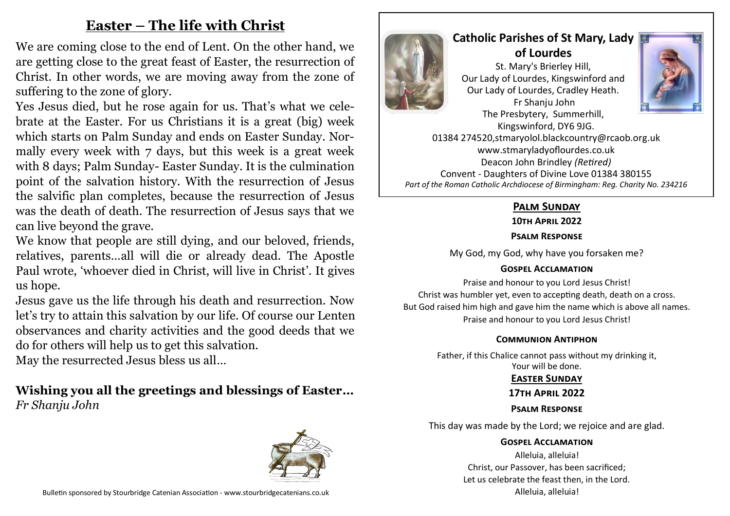# **Easter – The life with Christ**

We are coming close to the end of Lent. On the other hand, we are getting close to the great feast of Easter, the resurrection of Christ. In other words, we are moving away from the zone of suffering to the zone of glory.

Yes Jesus died, but he rose again for us. That's what we celebrate at the Easter. For us Christians it is a great (big) week which starts on Palm Sunday and ends on Easter Sunday. Normally every week with 7 days, but this week is a great week with 8 days; Palm Sunday- Easter Sunday. It is the culmination point of the salvation history. With the resurrection of Jesus the salvific plan completes, because the resurrection of Jesus was the death of death. The resurrection of Jesus says that we can live beyond the grave.

We know that people are still dying, and our beloved, friends, relatives, parents…all will die or already dead. The Apostle Paul wrote, 'whoever died in Christ, will live in Christ'. It gives us hope.

Jesus gave us the life through his death and resurrection. Now let's try to attain this salvation by our life. Of course our Lenten observances and charity activities and the good deeds that we do for others will help us to get this salvation.

May the resurrected Jesus bless us all…

# **Wishing you all the greetings and blessings of Easter…** *Fr Shanju John*





# **Catholic Parishes of St Mary, Lady of Lourdes**  St. Mary's Brierley Hill, Our Lady of Lourdes, Kingswinford and Our Lady of Lourdes, Cradley Heath. Fr Shanju John



The Presbytery, Summerhill, Kingswinford, DY6 9JG. 01384 274520,stmaryolol.blackcountry@rcaob.org.uk www.stmaryladyoflourdes.co.uk Deacon John Brindley *(Retired)* Convent - Daughters of Divine Love 01384 380155 *Part of the Roman Catholic Archdiocese of Birmingham: Reg. Charity No. 234216*

# **Palm Sunday**

**10th April 2022**

## **Psalm Response**

My God, my God, why have you forsaken me?

# **Gospel Acclamation**

Praise and honour to you Lord Jesus Christ! Christ was humbler yet, even to accepting death, death on a cross. But God raised him high and gave him the name which is above all names. Praise and honour to you Lord Jesus Christ!

### **Communion Antiphon**

Father, if this Chalice cannot pass without my drinking it, Your will be done.

# **Easter Sunday**

### **17th April 2022**

# **Psalm Response**

This day was made by the Lord; we rejoice and are glad.

### **Gospel Acclamation**

Alleluia, alleluia! Christ, our Passover, has been sacrificed; Let us celebrate the feast then, in the Lord. Alleluia, alleluia!